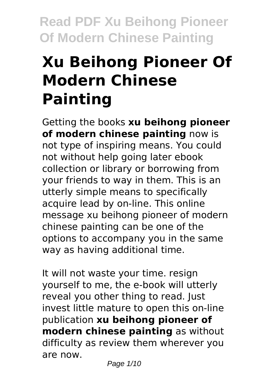# **Xu Beihong Pioneer Of Modern Chinese Painting**

Getting the books **xu beihong pioneer of modern chinese painting** now is not type of inspiring means. You could not without help going later ebook collection or library or borrowing from your friends to way in them. This is an utterly simple means to specifically acquire lead by on-line. This online message xu beihong pioneer of modern chinese painting can be one of the options to accompany you in the same way as having additional time.

It will not waste your time. resign yourself to me, the e-book will utterly reveal you other thing to read. Just invest little mature to open this on-line publication **xu beihong pioneer of modern chinese painting** as without difficulty as review them wherever you are now.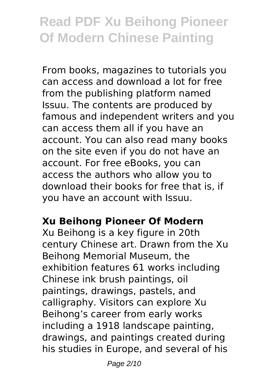From books, magazines to tutorials you can access and download a lot for free from the publishing platform named Issuu. The contents are produced by famous and independent writers and you can access them all if you have an account. You can also read many books on the site even if you do not have an account. For free eBooks, you can access the authors who allow you to download their books for free that is, if you have an account with Issuu.

#### **Xu Beihong Pioneer Of Modern**

Xu Beihong is a key figure in 20th century Chinese art. Drawn from the Xu Beihong Memorial Museum, the exhibition features 61 works including Chinese ink brush paintings, oil paintings, drawings, pastels, and calligraphy. Visitors can explore Xu Beihong's career from early works including a 1918 landscape painting, drawings, and paintings created during his studies in Europe, and several of his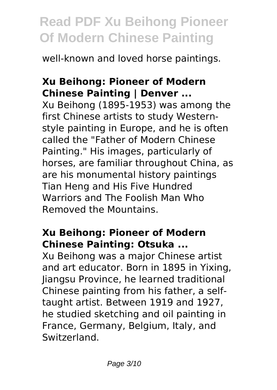well-known and loved horse paintings.

#### **Xu Beihong: Pioneer of Modern Chinese Painting | Denver ...**

Xu Beihong (1895-1953) was among the first Chinese artists to study Westernstyle painting in Europe, and he is often called the "Father of Modern Chinese Painting." His images, particularly of horses, are familiar throughout China, as are his monumental history paintings Tian Heng and His Five Hundred Warriors and The Foolish Man Who Removed the Mountains.

#### **Xu Beihong: Pioneer of Modern Chinese Painting: Otsuka ...**

Xu Beihong was a major Chinese artist and art educator. Born in 1895 in Yixing, Jiangsu Province, he learned traditional Chinese painting from his father, a selftaught artist. Between 1919 and 1927, he studied sketching and oil painting in France, Germany, Belgium, Italy, and Switzerland.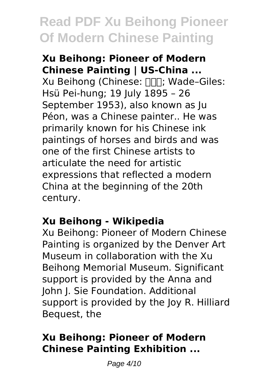#### **Xu Beihong: Pioneer of Modern Chinese Painting | US-China ...**

Xu Beihong (Chinese:  $\Pi$ , Wade-Giles: Hsü Pei-hung; 19 July 1895 – 26 September 1953), also known as Ju Péon, was a Chinese painter.. He was primarily known for his Chinese ink paintings of horses and birds and was one of the first Chinese artists to articulate the need for artistic expressions that reflected a modern China at the beginning of the 20th century.

#### **Xu Beihong - Wikipedia**

Xu Beihong: Pioneer of Modern Chinese Painting is organized by the Denver Art Museum in collaboration with the Xu Beihong Memorial Museum. Significant support is provided by the Anna and John J. Sie Foundation. Additional support is provided by the Joy R. Hilliard Bequest, the

#### **Xu Beihong: Pioneer of Modern Chinese Painting Exhibition ...**

Page 4/10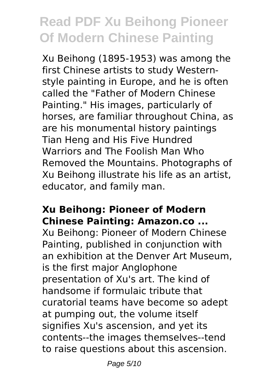Xu Beihong (1895-1953) was among the first Chinese artists to study Westernstyle painting in Europe, and he is often called the "Father of Modern Chinese Painting." His images, particularly of horses, are familiar throughout China, as are his monumental history paintings Tian Heng and His Five Hundred Warriors and The Foolish Man Who Removed the Mountains. Photographs of Xu Beihong illustrate his life as an artist, educator, and family man.

#### **Xu Beihong: Pioneer of Modern Chinese Painting: Amazon.co ...**

Xu Beihong: Pioneer of Modern Chinese Painting, published in conjunction with an exhibition at the Denver Art Museum, is the first major Anglophone presentation of Xu's art. The kind of handsome if formulaic tribute that curatorial teams have become so adept at pumping out, the volume itself signifies Xu's ascension, and yet its contents--the images themselves--tend to raise questions about this ascension.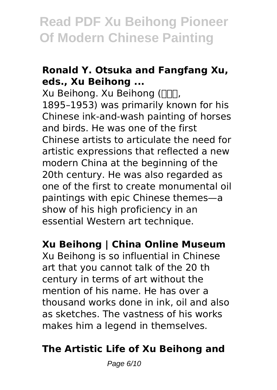#### **Ronald Y. Otsuka and Fangfang Xu, eds., Xu Beihong ...**

Xu Beihong, Xu Beihong (NNN, 1895–1953) was primarily known for his Chinese ink-and-wash painting of horses and birds. He was one of the first Chinese artists to articulate the need for artistic expressions that reflected a new modern China at the beginning of the 20th century. He was also regarded as one of the first to create monumental oil paintings with epic Chinese themes—a show of his high proficiency in an essential Western art technique.

#### **Xu Beihong | China Online Museum**

Xu Beihong is so influential in Chinese art that you cannot talk of the 20 th century in terms of art without the mention of his name. He has over a thousand works done in ink, oil and also as sketches. The vastness of his works makes him a legend in themselves.

#### **The Artistic Life of Xu Beihong and**

Page 6/10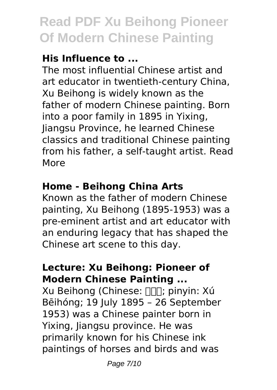### **His Influence to ...**

The most influential Chinese artist and art educator in twentieth-century China, Xu Beihong is widely known as the father of modern Chinese painting. Born into a poor family in 1895 in Yixing, Jiangsu Province, he learned Chinese classics and traditional Chinese painting from his father, a self-taught artist. Read More

### **Home - Beihong China Arts**

Known as the father of modern Chinese painting, Xu Beihong (1895-1953) was a pre-eminent artist and art educator with an enduring legacy that has shaped the Chinese art scene to this day.

#### **Lecture: Xu Beihong: Pioneer of Modern Chinese Painting ...**

Xu Beihong (Chinese: [ ][]; pinyin: Xú Bēihóng; 19 July 1895 – 26 September 1953) was a Chinese painter born in Yixing, Jiangsu province. He was primarily known for his Chinese ink paintings of horses and birds and was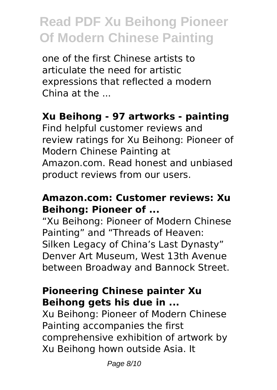one of the first Chinese artists to articulate the need for artistic expressions that reflected a modern China at the ...

#### **Xu Beihong - 97 artworks - painting**

Find helpful customer reviews and review ratings for Xu Beihong: Pioneer of Modern Chinese Painting at Amazon.com. Read honest and unbiased product reviews from our users.

#### **Amazon.com: Customer reviews: Xu Beihong: Pioneer of ...**

"Xu Beihong: Pioneer of Modern Chinese Painting" and "Threads of Heaven: Silken Legacy of China's Last Dynasty" Denver Art Museum, West 13th Avenue between Broadway and Bannock Street.

#### **Pioneering Chinese painter Xu Beihong gets his due in ...**

Xu Beihong: Pioneer of Modern Chinese Painting accompanies the first comprehensive exhibition of artwork by Xu Beihong hown outside Asia. It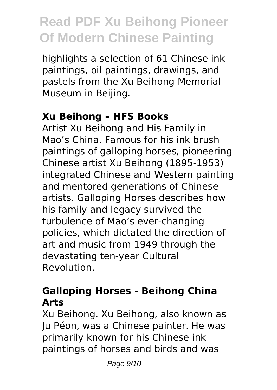highlights a selection of 61 Chinese ink paintings, oil paintings, drawings, and pastels from the Xu Beihong Memorial Museum in Beijing.

#### **Xu Beihong – HFS Books**

Artist Xu Beihong and His Family in Mao's China. Famous for his ink brush paintings of galloping horses, pioneering Chinese artist Xu Beihong (1895-1953) integrated Chinese and Western painting and mentored generations of Chinese artists. Galloping Horses describes how his family and legacy survived the turbulence of Mao's ever-changing policies, which dictated the direction of art and music from 1949 through the devastating ten-year Cultural Revolution.

#### **Galloping Horses - Beihong China Arts**

Xu Beihong. Xu Beihong, also known as Ju Péon, was a Chinese painter. He was primarily known for his Chinese ink paintings of horses and birds and was